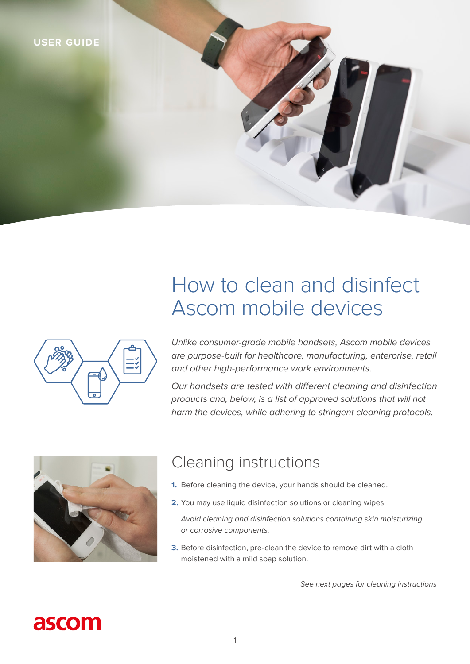

# How to clean and disinfect Ascom mobile devices

*Unlike consumer-grade mobile handsets, Ascom mobile devices are purpose-built for healthcare, manufacturing, enterprise, retail and other high-performance work environments.* 

Our handsets are tested with different cleaning and disinfection *products and, below, is a list of approved solutions that will not harm the devices, while adhering to stringent cleaning protocols.*



### Cleaning instructions

- **1.** Before cleaning the device, your hands should be cleaned.
- **2.** You may use liquid disinfection solutions or cleaning wipes.

*Avoid cleaning and disinfection solutions containing skin moisturizing or corrosive components.*

**3.** Before disinfection, pre-clean the device to remove dirt with a cloth moistened with a mild soap solution.

*See next pages for cleaning instructions*

# ascom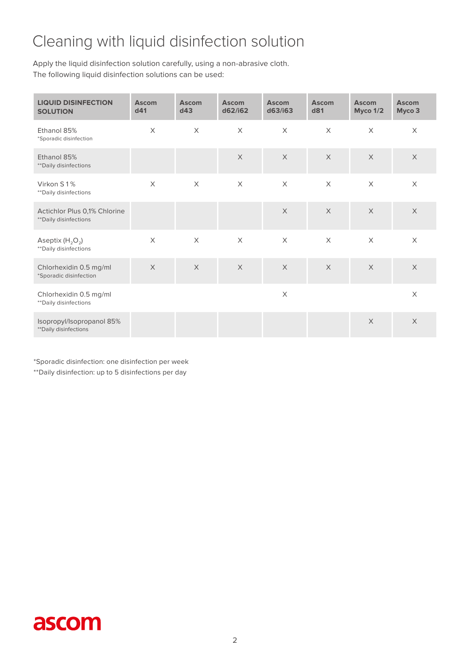## Cleaning with liquid disinfection solution

Apply the liquid disinfection solution carefully, using a non-abrasive cloth. The following liquid disinfection solutions can be used:

| <b>LIQUID DISINFECTION</b><br><b>SOLUTION</b>          | <b>Ascom</b><br>d41 | <b>Ascom</b><br>d43 | <b>Ascom</b><br>d62/i62 | <b>Ascom</b><br>d63/i63   | <b>Ascom</b><br>d81 | <b>Ascom</b><br>Myco 1/2 | <b>Ascom</b><br>Myco 3 |
|--------------------------------------------------------|---------------------|---------------------|-------------------------|---------------------------|---------------------|--------------------------|------------------------|
| Ethanol 85%<br>*Sporadic disinfection                  | $\times$            | $\times$            | $\times$                | $\times$                  | $\times$            | $\times$                 | $\times$               |
| Ethanol 85%<br>** Daily disinfections                  |                     |                     | $\times$                | $\times$                  | $\times$            | $\times$                 | $\times$               |
| Virkon S1%<br>** Daily disinfections                   | $\times$            | $\times$            | $\mathsf X$             | $\boldsymbol{\mathsf{X}}$ | $\mathsf X$         | $\mathsf X$              | $\mathsf X$            |
| Actichlor Plus 0,1% Chlorine<br>** Daily disinfections |                     |                     |                         | $\times$                  | $\times$            | $\times$                 | $\times$               |
| Aseptix $(H_2O_2)$<br>** Daily disinfections           | $\times$            | $\times$            | $\times$                | $\times$                  | $\times$            | $\times$                 | $\times$               |
| Chlorhexidin 0.5 mg/ml<br>*Sporadic disinfection       | $\times$            | $\times$            | $\times$                | $\mathsf X$               | $\times$            | $\times$                 | $\mathsf X$            |
| Chlorhexidin 0.5 mg/ml<br>** Daily disinfections       |                     |                     |                         | $\boldsymbol{\times}$     |                     |                          | $\mathsf X$            |
| Isopropyl/Isopropanol 85%<br>** Daily disinfections    |                     |                     |                         |                           |                     | $\times$                 | $\times$               |

\*Sporadic disinfection: one disinfection per week

\*\*Daily disinfection: up to 5 disinfections per day